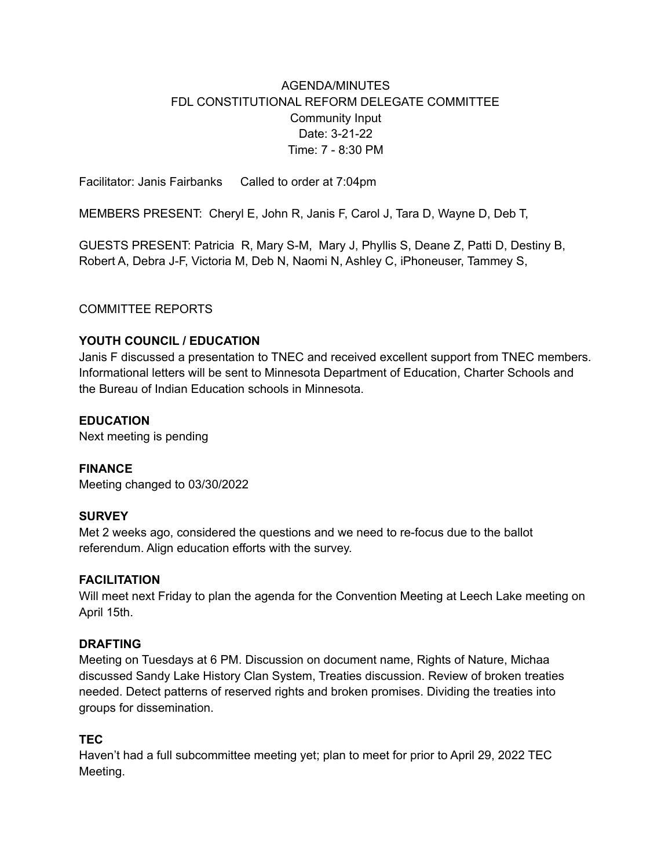## AGENDA/MINUTES FDL CONSTITUTIONAL REFORM DELEGATE COMMITTEE Community Input Date: 3-21-22 Time: 7 - 8:30 PM

Facilitator: Janis Fairbanks Called to order at 7:04pm

MEMBERS PRESENT: Cheryl E, John R, Janis F, Carol J, Tara D, Wayne D, Deb T,

GUESTS PRESENT: Patricia R, Mary S-M, Mary J, Phyllis S, Deane Z, Patti D, Destiny B, Robert A, Debra J-F, Victoria M, Deb N, Naomi N, Ashley C, iPhoneuser, Tammey S,

### COMMITTEE REPORTS

### **YOUTH COUNCIL / EDUCATION**

Janis F discussed a presentation to TNEC and received excellent support from TNEC members. Informational letters will be sent to Minnesota Department of Education, Charter Schools and the Bureau of Indian Education schools in Minnesota.

#### **EDUCATION**

Next meeting is pending

#### **FINANCE**

Meeting changed to 03/30/2022

#### **SURVEY**

Met 2 weeks ago, considered the questions and we need to re-focus due to the ballot referendum. Align education efforts with the survey.

#### **FACILITATION**

Will meet next Friday to plan the agenda for the Convention Meeting at Leech Lake meeting on April 15th.

#### **DRAFTING**

Meeting on Tuesdays at 6 PM. Discussion on document name, Rights of Nature, Michaa discussed Sandy Lake History Clan System, Treaties discussion. Review of broken treaties needed. Detect patterns of reserved rights and broken promises. Dividing the treaties into groups for dissemination.

#### **TEC**

Haven't had a full subcommittee meeting yet; plan to meet for prior to April 29, 2022 TEC Meeting.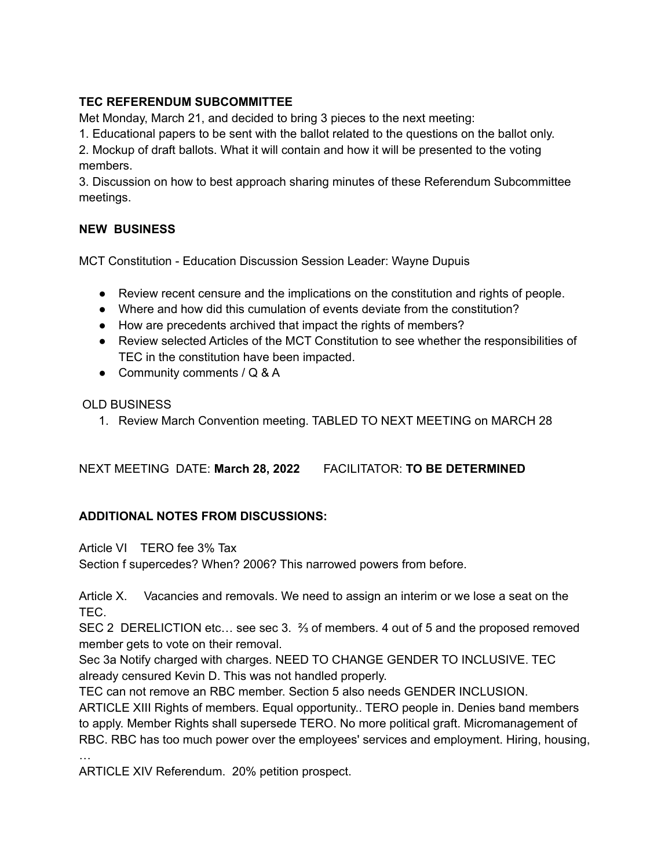### **TEC REFERENDUM SUBCOMMITTEE**

Met Monday, March 21, and decided to bring 3 pieces to the next meeting:

1. Educational papers to be sent with the ballot related to the questions on the ballot only.

2. Mockup of draft ballots. What it will contain and how it will be presented to the voting members.

3. Discussion on how to best approach sharing minutes of these Referendum Subcommittee meetings.

### **NEW BUSINESS**

MCT Constitution - Education Discussion Session Leader: Wayne Dupuis

- Review recent censure and the implications on the constitution and rights of people.
- Where and how did this cumulation of events deviate from the constitution?
- How are precedents archived that impact the rights of members?
- Review selected Articles of the MCT Constitution to see whether the responsibilities of TEC in the constitution have been impacted.
- Community comments / Q & A

### OLD BUSINESS

…

1. Review March Convention meeting. TABLED TO NEXT MEETING on MARCH 28

NEXT MEETING DATE: **March 28, 2022** FACILITATOR: **TO BE DETERMINED**

# **ADDITIONAL NOTES FROM DISCUSSIONS:**

Article VI TERO fee 3% Tax

Section f supercedes? When? 2006? This narrowed powers from before.

Article X. Vacancies and removals. We need to assign an interim or we lose a seat on the TEC.

SEC 2 DERELICTION etc… see sec 3. ⅔ of members. 4 out of 5 and the proposed removed member gets to vote on their removal.

Sec 3a Notify charged with charges. NEED TO CHANGE GENDER TO INCLUSIVE. TEC already censured Kevin D. This was not handled properly.

TEC can not remove an RBC member. Section 5 also needs GENDER INCLUSION.

ARTICLE XIII Rights of members. Equal opportunity.. TERO people in. Denies band members to apply. Member Rights shall supersede TERO. No more political graft. Micromanagement of RBC. RBC has too much power over the employees' services and employment. Hiring, housing,

ARTICLE XIV Referendum. 20% petition prospect.